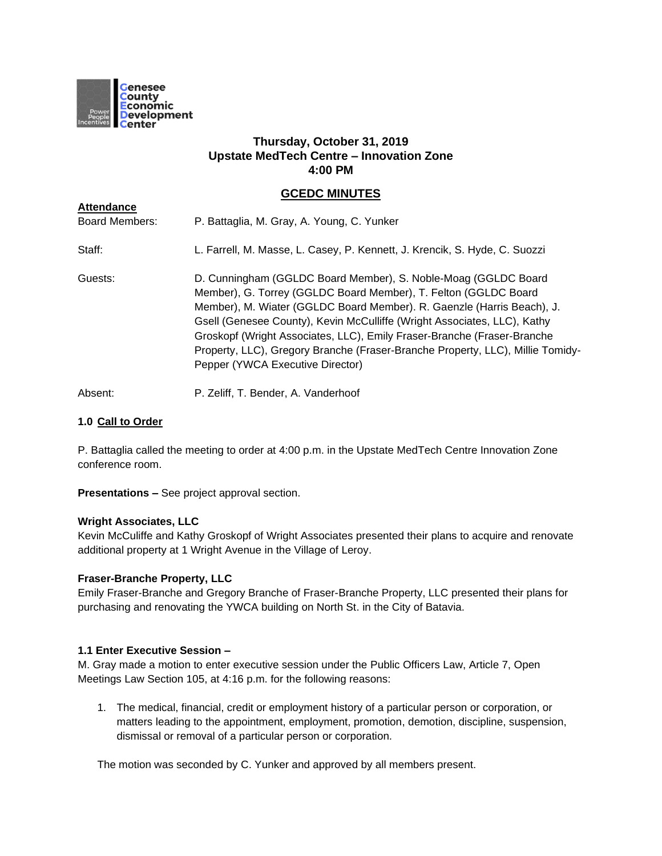

# **Thursday, October 31, 2019 Upstate MedTech Centre – Innovation Zone 4:00 PM**

# **GCEDC MINUTES**

| <b>Attendance</b> |                                                                                                                                                                                                                                                                                                                                                                                                                                                                                          |
|-------------------|------------------------------------------------------------------------------------------------------------------------------------------------------------------------------------------------------------------------------------------------------------------------------------------------------------------------------------------------------------------------------------------------------------------------------------------------------------------------------------------|
| Board Members:    | P. Battaglia, M. Gray, A. Young, C. Yunker                                                                                                                                                                                                                                                                                                                                                                                                                                               |
| Staff:            | L. Farrell, M. Masse, L. Casey, P. Kennett, J. Krencik, S. Hyde, C. Suozzi                                                                                                                                                                                                                                                                                                                                                                                                               |
| Guests:           | D. Cunningham (GGLDC Board Member), S. Noble-Moag (GGLDC Board<br>Member), G. Torrey (GGLDC Board Member), T. Felton (GGLDC Board<br>Member), M. Wiater (GGLDC Board Member). R. Gaenzle (Harris Beach), J.<br>Gsell (Genesee County), Kevin McCulliffe (Wright Associates, LLC), Kathy<br>Groskopf (Wright Associates, LLC), Emily Fraser-Branche (Fraser-Branche<br>Property, LLC), Gregory Branche (Fraser-Branche Property, LLC), Millie Tomidy-<br>Pepper (YWCA Executive Director) |

Absent: P. Zeliff, T. Bender, A. Vanderhoof

### **1.0 Call to Order**

P. Battaglia called the meeting to order at 4:00 p.m. in the Upstate MedTech Centre Innovation Zone conference room.

**Presentations –** See project approval section.

#### **Wright Associates, LLC**

Kevin McCuliffe and Kathy Groskopf of Wright Associates presented their plans to acquire and renovate additional property at 1 Wright Avenue in the Village of Leroy.

#### **Fraser-Branche Property, LLC**

Emily Fraser-Branche and Gregory Branche of Fraser-Branche Property, LLC presented their plans for purchasing and renovating the YWCA building on North St. in the City of Batavia.

### **1.1 Enter Executive Session –**

M. Gray made a motion to enter executive session under the Public Officers Law, Article 7, Open Meetings Law Section 105, at 4:16 p.m. for the following reasons:

1. The medical, financial, credit or employment history of a particular person or corporation, or matters leading to the appointment, employment, promotion, demotion, discipline, suspension, dismissal or removal of a particular person or corporation.

The motion was seconded by C. Yunker and approved by all members present.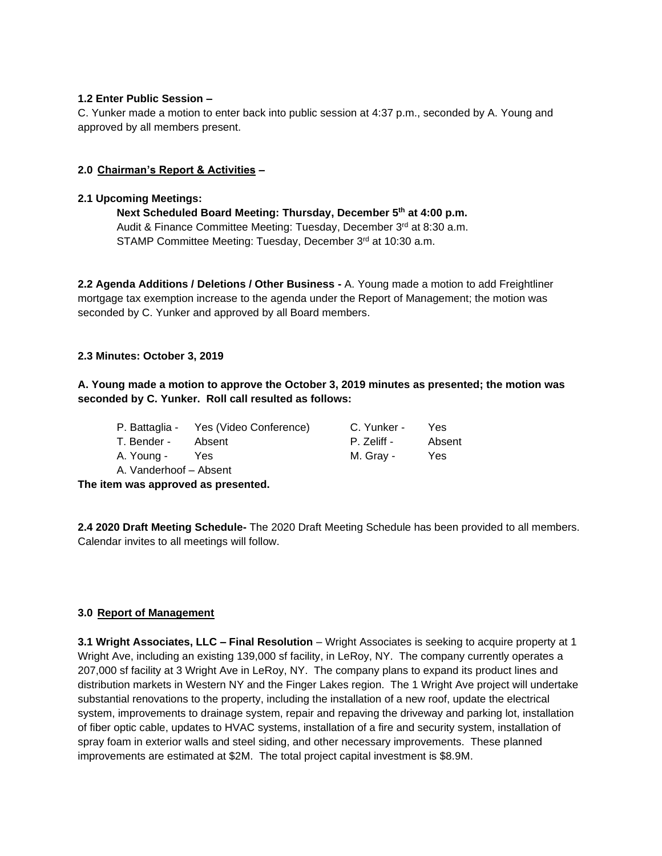## **1.2 Enter Public Session –**

C. Yunker made a motion to enter back into public session at 4:37 p.m., seconded by A. Young and approved by all members present.

### **2.0 Chairman's Report & Activities –**

#### **2.1 Upcoming Meetings:**

**Next Scheduled Board Meeting: Thursday, December 5th at 4:00 p.m.** Audit & Finance Committee Meeting: Tuesday, December 3rd at 8:30 a.m. STAMP Committee Meeting: Tuesday, December 3rd at 10:30 a.m.

**2.2 Agenda Additions / Deletions / Other Business -** A. Young made a motion to add Freightliner mortgage tax exemption increase to the agenda under the Report of Management; the motion was seconded by C. Yunker and approved by all Board members.

### **2.3 Minutes: October 3, 2019**

**A. Young made a motion to approve the October 3, 2019 minutes as presented; the motion was seconded by C. Yunker. Roll call resulted as follows:**

|                        | P. Battaglia - Yes (Video Conference) | C. Yunker - | Yes    |
|------------------------|---------------------------------------|-------------|--------|
| T. Bender -            | Absent                                | P. Zeliff - | Absent |
| A. Young -             | Yes.                                  | M. Gray -   | Yes    |
| A. Vanderhoof - Absent |                                       |             |        |

**The item was approved as presented.**

**2.4 2020 Draft Meeting Schedule-** The 2020 Draft Meeting Schedule has been provided to all members. Calendar invites to all meetings will follow.

#### **3.0 Report of Management**

**3.1 Wright Associates, LLC – Final Resolution** – Wright Associates is seeking to acquire property at 1 Wright Ave, including an existing 139,000 sf facility, in LeRoy, NY. The company currently operates a 207,000 sf facility at 3 Wright Ave in LeRoy, NY. The company plans to expand its product lines and distribution markets in Western NY and the Finger Lakes region. The 1 Wright Ave project will undertake substantial renovations to the property, including the installation of a new roof, update the electrical system, improvements to drainage system, repair and repaving the driveway and parking lot, installation of fiber optic cable, updates to HVAC systems, installation of a fire and security system, installation of spray foam in exterior walls and steel siding, and other necessary improvements. These planned improvements are estimated at \$2M. The total project capital investment is \$8.9M.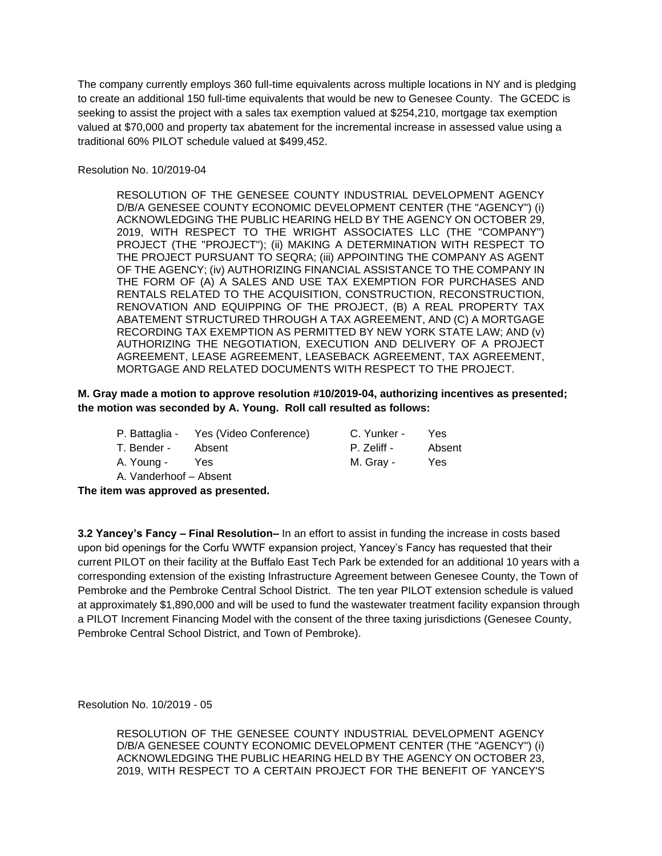The company currently employs 360 full-time equivalents across multiple locations in NY and is pledging to create an additional 150 full-time equivalents that would be new to Genesee County. The GCEDC is seeking to assist the project with a sales tax exemption valued at \$254,210, mortgage tax exemption valued at \$70,000 and property tax abatement for the incremental increase in assessed value using a traditional 60% PILOT schedule valued at \$499,452.

Resolution No. 10/2019-04

RESOLUTION OF THE GENESEE COUNTY INDUSTRIAL DEVELOPMENT AGENCY D/B/A GENESEE COUNTY ECONOMIC DEVELOPMENT CENTER (THE "AGENCY") (i) ACKNOWLEDGING THE PUBLIC HEARING HELD BY THE AGENCY ON OCTOBER 29, 2019, WITH RESPECT TO THE WRIGHT ASSOCIATES LLC (THE "COMPANY") PROJECT (THE "PROJECT"); (ii) MAKING A DETERMINATION WITH RESPECT TO THE PROJECT PURSUANT TO SEQRA; (iii) APPOINTING THE COMPANY AS AGENT OF THE AGENCY; (iv) AUTHORIZING FINANCIAL ASSISTANCE TO THE COMPANY IN THE FORM OF (A) A SALES AND USE TAX EXEMPTION FOR PURCHASES AND RENTALS RELATED TO THE ACQUISITION, CONSTRUCTION, RECONSTRUCTION, RENOVATION AND EQUIPPING OF THE PROJECT, (B) A REAL PROPERTY TAX ABATEMENT STRUCTURED THROUGH A TAX AGREEMENT, AND (C) A MORTGAGE RECORDING TAX EXEMPTION AS PERMITTED BY NEW YORK STATE LAW; AND (v) AUTHORIZING THE NEGOTIATION, EXECUTION AND DELIVERY OF A PROJECT AGREEMENT, LEASE AGREEMENT, LEASEBACK AGREEMENT, TAX AGREEMENT, MORTGAGE AND RELATED DOCUMENTS WITH RESPECT TO THE PROJECT.

**M. Gray made a motion to approve resolution #10/2019-04, authorizing incentives as presented; the motion was seconded by A. Young. Roll call resulted as follows:**

| P. Battaglia -         | Yes (Video Conference) | C. Yunker - | Yes    |
|------------------------|------------------------|-------------|--------|
| T. Bender -            | Absent                 | P. Zeliff - | Absent |
| A. Young -             | Yes.                   | M. Grav -   | Yes    |
| A. Vanderhoof – Absent |                        |             |        |

**The item was approved as presented.**

**3.2 Yancey's Fancy – Final Resolution–** In an effort to assist in funding the increase in costs based upon bid openings for the Corfu WWTF expansion project, Yancey's Fancy has requested that their current PILOT on their facility at the Buffalo East Tech Park be extended for an additional 10 years with a corresponding extension of the existing Infrastructure Agreement between Genesee County, the Town of Pembroke and the Pembroke Central School District. The ten year PILOT extension schedule is valued at approximately \$1,890,000 and will be used to fund the wastewater treatment facility expansion through a PILOT Increment Financing Model with the consent of the three taxing jurisdictions (Genesee County, Pembroke Central School District, and Town of Pembroke).

Resolution No. 10/2019 - 05

RESOLUTION OF THE GENESEE COUNTY INDUSTRIAL DEVELOPMENT AGENCY D/B/A GENESEE COUNTY ECONOMIC DEVELOPMENT CENTER (THE "AGENCY") (i) ACKNOWLEDGING THE PUBLIC HEARING HELD BY THE AGENCY ON OCTOBER 23, 2019, WITH RESPECT TO A CERTAIN PROJECT FOR THE BENEFIT OF YANCEY'S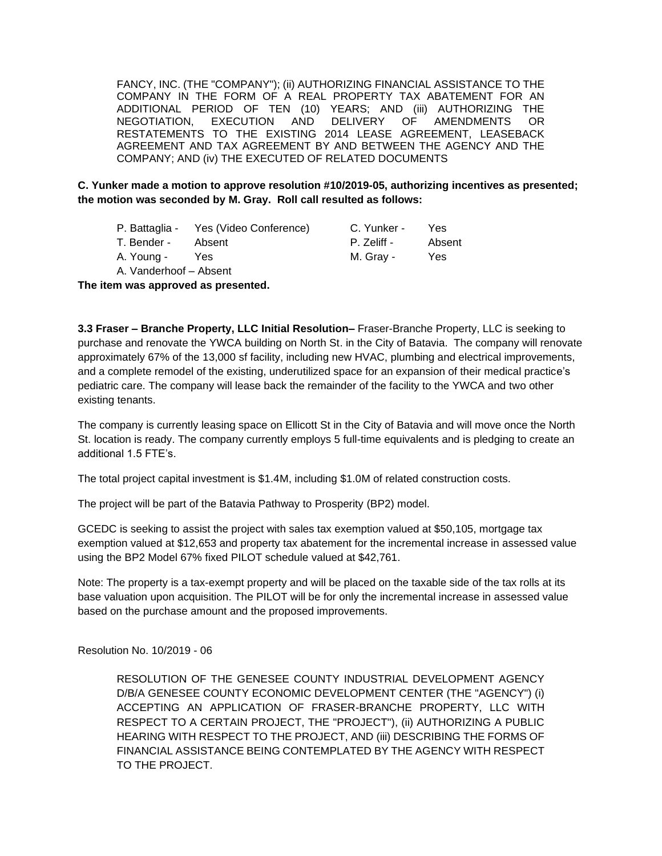FANCY, INC. (THE "COMPANY"); (ii) AUTHORIZING FINANCIAL ASSISTANCE TO THE COMPANY IN THE FORM OF A REAL PROPERTY TAX ABATEMENT FOR AN ADDITIONAL PERIOD OF TEN (10) YEARS; AND (iii) AUTHORIZING THE NEGOTIATION, EXECUTION AND DELIVERY OF AMENDMENTS OR RESTATEMENTS TO THE EXISTING 2014 LEASE AGREEMENT, LEASEBACK AGREEMENT AND TAX AGREEMENT BY AND BETWEEN THE AGENCY AND THE COMPANY; AND (iv) THE EXECUTED OF RELATED DOCUMENTS

**C. Yunker made a motion to approve resolution #10/2019-05, authorizing incentives as presented; the motion was seconded by M. Gray. Roll call resulted as follows:**

|                        | P. Battaglia - Yes (Video Conference) | C. Yunker - | Yes    |
|------------------------|---------------------------------------|-------------|--------|
| T. Bender -            | Absent                                | P. Zeliff - | Absent |
| A. Young -             | Yes.                                  | M. Gray -   | Yes    |
| A. Vanderhoof - Absent |                                       |             |        |

**The item was approved as presented.**

**3.3 Fraser – Branche Property, LLC Initial Resolution–** Fraser-Branche Property, LLC is seeking to purchase and renovate the YWCA building on North St. in the City of Batavia. The company will renovate approximately 67% of the 13,000 sf facility, including new HVAC, plumbing and electrical improvements, and a complete remodel of the existing, underutilized space for an expansion of their medical practice's pediatric care. The company will lease back the remainder of the facility to the YWCA and two other existing tenants.

The company is currently leasing space on Ellicott St in the City of Batavia and will move once the North St. location is ready. The company currently employs 5 full-time equivalents and is pledging to create an additional 1.5 FTE's.

The total project capital investment is \$1.4M, including \$1.0M of related construction costs.

The project will be part of the Batavia Pathway to Prosperity (BP2) model.

GCEDC is seeking to assist the project with sales tax exemption valued at \$50,105, mortgage tax exemption valued at \$12,653 and property tax abatement for the incremental increase in assessed value using the BP2 Model 67% fixed PILOT schedule valued at \$42,761.

Note: The property is a tax-exempt property and will be placed on the taxable side of the tax rolls at its base valuation upon acquisition. The PILOT will be for only the incremental increase in assessed value based on the purchase amount and the proposed improvements.

Resolution No. 10/2019 - 06

RESOLUTION OF THE GENESEE COUNTY INDUSTRIAL DEVELOPMENT AGENCY D/B/A GENESEE COUNTY ECONOMIC DEVELOPMENT CENTER (THE "AGENCY") (i) ACCEPTING AN APPLICATION OF FRASER-BRANCHE PROPERTY, LLC WITH RESPECT TO A CERTAIN PROJECT, THE "PROJECT"), (ii) AUTHORIZING A PUBLIC HEARING WITH RESPECT TO THE PROJECT, AND (iii) DESCRIBING THE FORMS OF FINANCIAL ASSISTANCE BEING CONTEMPLATED BY THE AGENCY WITH RESPECT TO THE PROJECT.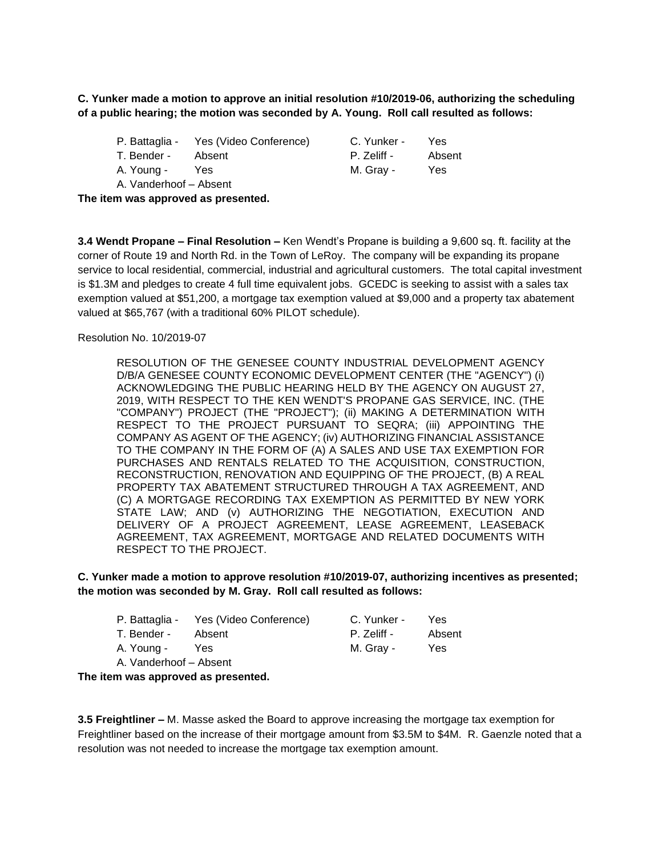**C. Yunker made a motion to approve an initial resolution #10/2019-06, authorizing the scheduling of a public hearing; the motion was seconded by A. Young. Roll call resulted as follows:**

P. Battaglia - Yes (Video Conference) C. Yunker - Yes T. Bender - Absent **P. Zeliff - Absent** 

A. Young - Yes M. Gray - Yes

A. Vanderhoof – Absent

**The item was approved as presented.**

**3.4 Wendt Propane – Final Resolution –** Ken Wendt's Propane is building a 9,600 sq. ft. facility at the corner of Route 19 and North Rd. in the Town of LeRoy. The company will be expanding its propane service to local residential, commercial, industrial and agricultural customers. The total capital investment is \$1.3M and pledges to create 4 full time equivalent jobs. GCEDC is seeking to assist with a sales tax exemption valued at \$51,200, a mortgage tax exemption valued at \$9,000 and a property tax abatement valued at \$65,767 (with a traditional 60% PILOT schedule).

Resolution No. 10/2019-07

RESOLUTION OF THE GENESEE COUNTY INDUSTRIAL DEVELOPMENT AGENCY D/B/A GENESEE COUNTY ECONOMIC DEVELOPMENT CENTER (THE "AGENCY") (i) ACKNOWLEDGING THE PUBLIC HEARING HELD BY THE AGENCY ON AUGUST 27, 2019, WITH RESPECT TO THE KEN WENDT'S PROPANE GAS SERVICE, INC. (THE "COMPANY") PROJECT (THE "PROJECT"); (ii) MAKING A DETERMINATION WITH RESPECT TO THE PROJECT PURSUANT TO SEQRA; (iii) APPOINTING THE COMPANY AS AGENT OF THE AGENCY; (iv) AUTHORIZING FINANCIAL ASSISTANCE TO THE COMPANY IN THE FORM OF (A) A SALES AND USE TAX EXEMPTION FOR PURCHASES AND RENTALS RELATED TO THE ACQUISITION, CONSTRUCTION, RECONSTRUCTION, RENOVATION AND EQUIPPING OF THE PROJECT, (B) A REAL PROPERTY TAX ABATEMENT STRUCTURED THROUGH A TAX AGREEMENT, AND (C) A MORTGAGE RECORDING TAX EXEMPTION AS PERMITTED BY NEW YORK STATE LAW; AND (v) AUTHORIZING THE NEGOTIATION, EXECUTION AND DELIVERY OF A PROJECT AGREEMENT, LEASE AGREEMENT, LEASEBACK AGREEMENT, TAX AGREEMENT, MORTGAGE AND RELATED DOCUMENTS WITH RESPECT TO THE PROJECT.

**C. Yunker made a motion to approve resolution #10/2019-07, authorizing incentives as presented; the motion was seconded by M. Gray. Roll call resulted as follows:**

|                        | P. Battaglia - Yes (Video Conference) | C. Yunker - | Yes    |
|------------------------|---------------------------------------|-------------|--------|
| T. Bender -            | Absent                                | P. Zeliff - | Absent |
| A. Young -             | Yes.                                  | M. Grav -   | Yes    |
| A. Vanderhoof - Absent |                                       |             |        |

**The item was approved as presented.**

**3.5 Freightliner –** M. Masse asked the Board to approve increasing the mortgage tax exemption for Freightliner based on the increase of their mortgage amount from \$3.5M to \$4M. R. Gaenzle noted that a resolution was not needed to increase the mortgage tax exemption amount.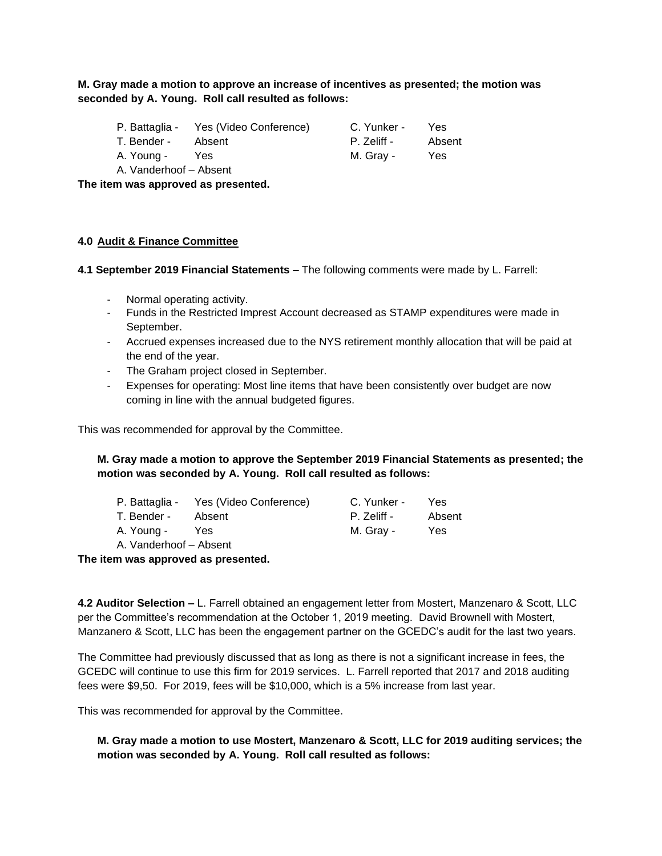**M. Gray made a motion to approve an increase of incentives as presented; the motion was seconded by A. Young. Roll call resulted as follows:** 

| P. Battaglia - | Yes (Video Conference) | C. Yunker - | Yes.   |
|----------------|------------------------|-------------|--------|
| T. Bender -    | Absent                 | P. Zeliff - | Absent |

A. Young - Yes M. Gray - Yes

A. Vanderhoof – Absent

**The item was approved as presented.**

# **4.0 Audit & Finance Committee**

**4.1 September 2019 Financial Statements –** The following comments were made by L. Farrell:

- Normal operating activity.
- Funds in the Restricted Imprest Account decreased as STAMP expenditures were made in September.
- Accrued expenses increased due to the NYS retirement monthly allocation that will be paid at the end of the year.
- The Graham project closed in September.
- Expenses for operating: Most line items that have been consistently over budget are now coming in line with the annual budgeted figures.

This was recommended for approval by the Committee.

**M. Gray made a motion to approve the September 2019 Financial Statements as presented; the motion was seconded by A. Young. Roll call resulted as follows:**

- P. Battaglia Yes (Video Conference) C. Yunker Yes
- T. Bender Absent **P. Zeliff Absent**
- A. Young Yes M. Gray Yes
- A. Vanderhoof Absent

**The item was approved as presented.**

**4.2 Auditor Selection –** L. Farrell obtained an engagement letter from Mostert, Manzenaro & Scott, LLC per the Committee's recommendation at the October 1, 2019 meeting. David Brownell with Mostert, Manzanero & Scott, LLC has been the engagement partner on the GCEDC's audit for the last two years.

The Committee had previously discussed that as long as there is not a significant increase in fees, the GCEDC will continue to use this firm for 2019 services. L. Farrell reported that 2017 and 2018 auditing fees were \$9,50. For 2019, fees will be \$10,000, which is a 5% increase from last year.

This was recommended for approval by the Committee.

**M. Gray made a motion to use Mostert, Manzenaro & Scott, LLC for 2019 auditing services; the motion was seconded by A. Young. Roll call resulted as follows:**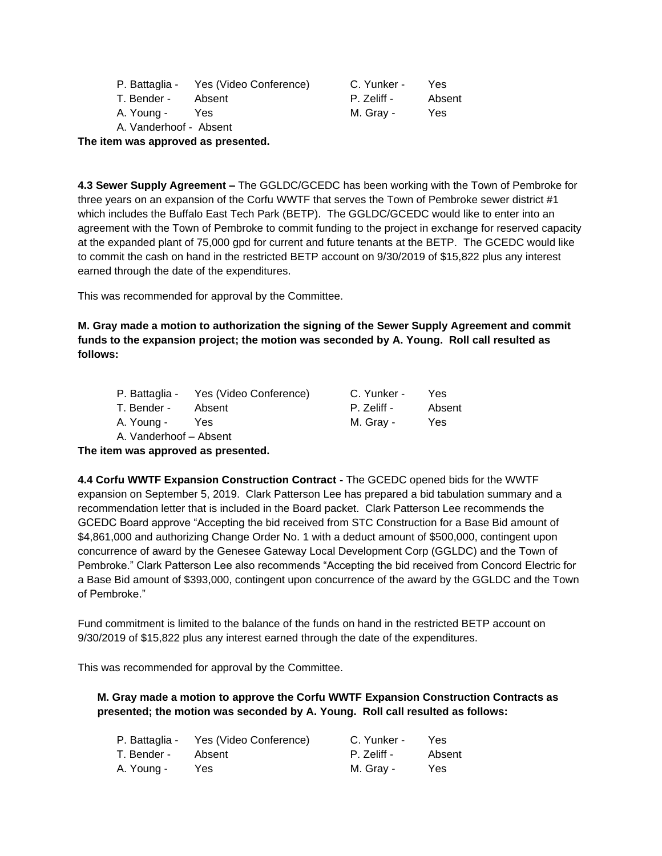|                        | P. Battaglia - Yes (Video Conference) | C. Yunker - | Yes    |
|------------------------|---------------------------------------|-------------|--------|
| T. Bender -            | Absent                                | P. Zeliff - | Absent |
| A. Young -             | Yes.                                  | M. Gray -   | Yes    |
| A. Vanderhoof - Absent |                                       |             |        |

**The item was approved as presented.**

**4.3 Sewer Supply Agreement –** The GGLDC/GCEDC has been working with the Town of Pembroke for three years on an expansion of the Corfu WWTF that serves the Town of Pembroke sewer district #1 which includes the Buffalo East Tech Park (BETP). The GGLDC/GCEDC would like to enter into an agreement with the Town of Pembroke to commit funding to the project in exchange for reserved capacity at the expanded plant of 75,000 gpd for current and future tenants at the BETP. The GCEDC would like to commit the cash on hand in the restricted BETP account on 9/30/2019 of \$15,822 plus any interest earned through the date of the expenditures.

This was recommended for approval by the Committee.

**M. Gray made a motion to authorization the signing of the Sewer Supply Agreement and commit funds to the expansion project; the motion was seconded by A. Young. Roll call resulted as follows:**

|                        | P. Battaglia - Yes (Video Conference) | C. Yunker - | Yes.   |
|------------------------|---------------------------------------|-------------|--------|
| T. Bender -            | Absent                                | P. Zeliff - | Absent |
| A. Young -             | Yes                                   | M. Grav -   | Yes    |
| A. Vanderhoof - Absent |                                       |             |        |

**The item was approved as presented.**

**4.4 Corfu WWTF Expansion Construction Contract -** The GCEDC opened bids for the WWTF expansion on September 5, 2019. Clark Patterson Lee has prepared a bid tabulation summary and a recommendation letter that is included in the Board packet. Clark Patterson Lee recommends the GCEDC Board approve "Accepting the bid received from STC Construction for a Base Bid amount of \$4,861,000 and authorizing Change Order No. 1 with a deduct amount of \$500,000, contingent upon concurrence of award by the Genesee Gateway Local Development Corp (GGLDC) and the Town of Pembroke." Clark Patterson Lee also recommends "Accepting the bid received from Concord Electric for a Base Bid amount of \$393,000, contingent upon concurrence of the award by the GGLDC and the Town of Pembroke."

Fund commitment is limited to the balance of the funds on hand in the restricted BETP account on 9/30/2019 of \$15,822 plus any interest earned through the date of the expenditures.

This was recommended for approval by the Committee.

**M. Gray made a motion to approve the Corfu WWTF Expansion Construction Contracts as presented; the motion was seconded by A. Young. Roll call resulted as follows:**

|             | P. Battaglia - Yes (Video Conference) | C. Yunker - | Yes    |
|-------------|---------------------------------------|-------------|--------|
| T. Bender - | Absent                                | P. Zeliff - | Absent |
| - A. Young  | Yes                                   | M. Grav -   | Yes    |